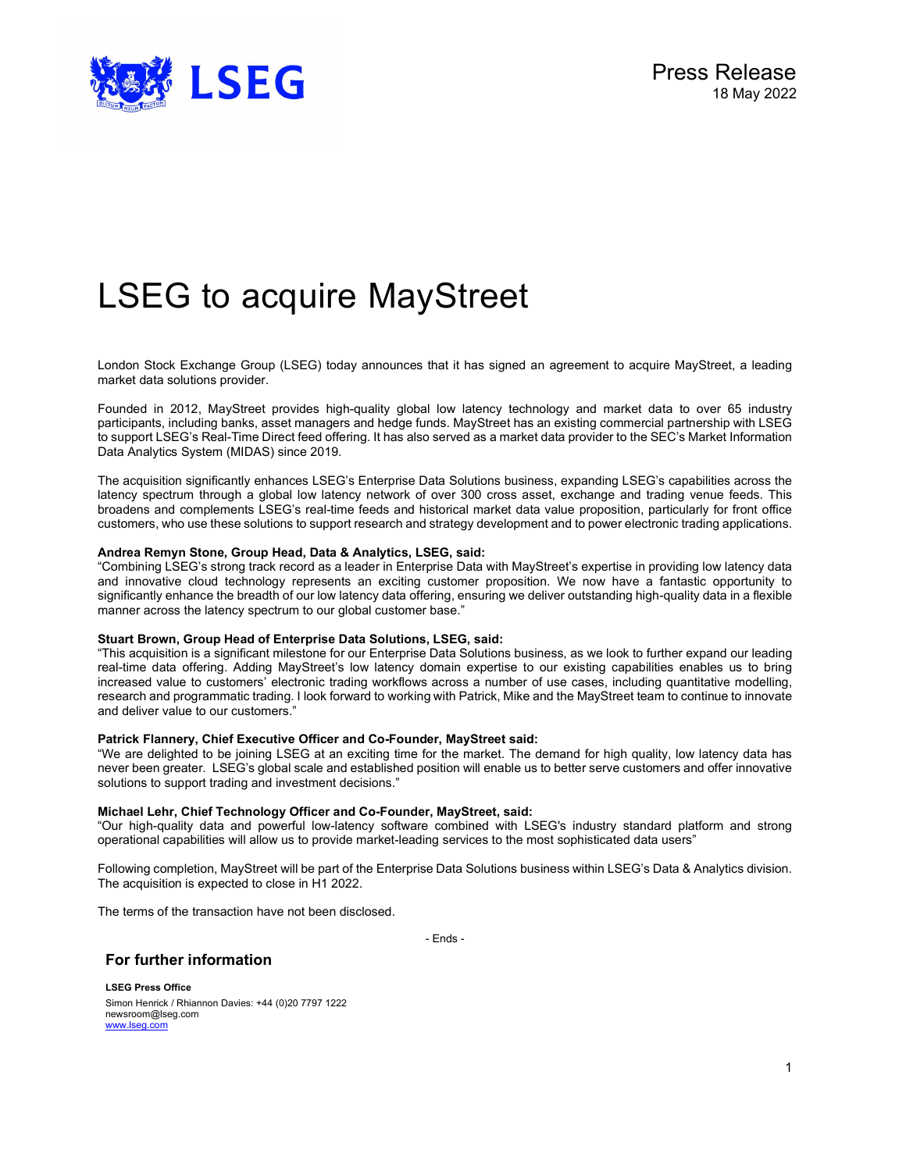

# LSEG to acquire MayStreet

London Stock Exchange Group (LSEG) today announces that it has signed an agreement to acquire MayStreet, a leading market data solutions provider.

Founded in 2012, MayStreet provides high-quality global low latency technology and market data to over 65 industry participants, including banks, asset managers and hedge funds. MayStreet has an existing commercial partnership with LSEG to support LSEG's Real-Time Direct feed offering. It has also served as a market data provider to the SEC's Market Information Data Analytics System (MIDAS) since 2019.

The acquisition significantly enhances LSEG's Enterprise Data Solutions business, expanding LSEG's capabilities across the latency spectrum through a global low latency network of over 300 cross asset, exchange and trading venue feeds. This broadens and complements LSEG's real-time feeds and historical market data value proposition, particularly for front office customers, who use these solutions to support research and strategy development and to power electronic trading applications.

# Andrea Remyn Stone, Group Head, Data & Analytics, LSEG, said:

"Combining LSEG's strong track record as a leader in Enterprise Data with MayStreet's expertise in providing low latency data and innovative cloud technology represents an exciting customer proposition. We now have a fantastic opportunity to significantly enhance the breadth of our low latency data offering, ensuring we deliver outstanding high-quality data in a flexible manner across the latency spectrum to our global customer base."

# Stuart Brown, Group Head of Enterprise Data Solutions, LSEG, said:

"This acquisition is a significant milestone for our Enterprise Data Solutions business, as we look to further expand our leading real-time data offering. Adding MayStreet's low latency domain expertise to our existing capabilities enables us to bring increased value to customers' electronic trading workflows across a number of use cases, including quantitative modelling, research and programmatic trading. I look forward to working with Patrick, Mike and the MayStreet team to continue to innovate and deliver value to our customers."

# Patrick Flannery, Chief Executive Officer and Co-Founder, MayStreet said:

"We are delighted to be joining LSEG at an exciting time for the market. The demand for high quality, low latency data has never been greater. LSEG's global scale and established position will enable us to better serve customers and offer innovative solutions to support trading and investment decisions."

# Michael Lehr, Chief Technology Officer and Co-Founder, MayStreet, said:

"Our high-quality data and powerful low-latency software combined with LSEG's industry standard platform and strong operational capabilities will allow us to provide market-leading services to the most sophisticated data users"

Following completion, MayStreet will be part of the Enterprise Data Solutions business within LSEG's Data & Analytics division. The acquisition is expected to close in H1 2022.

The terms of the transaction have not been disclosed.

- Ends -

# For further information

LSEG Press Office Simon Henrick / Rhiannon Davies: +44 (0)20 7797 1222 newsroom@lseg.com www.lseg.com